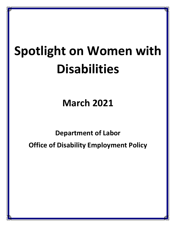# **Spotlight on Women with Disabilities**

**March 2021**

**Department of Labor Office of Disability Employment Policy**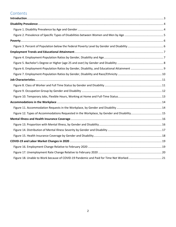## **Contents**

| Figure 12. Types of Accommodations Requested in the Workplace, by Gender and Disability 15 |  |
|--------------------------------------------------------------------------------------------|--|
|                                                                                            |  |
|                                                                                            |  |
|                                                                                            |  |
|                                                                                            |  |
|                                                                                            |  |
|                                                                                            |  |
|                                                                                            |  |
|                                                                                            |  |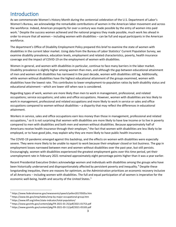# <span id="page-2-0"></span>Introduction

As we commemorate Women's History Month during the centennial celebration of the U.S. Department of Labor's Women's Bureau, we acknowledge the remarkable contributions of women in the American labor movement and across the workforce. Indeed, American prosperity for over a century was made possible by the entry of women into paid work.<sup>1</sup> Despite the success women achieved and the national progress they made possible, much work lies ahead in order to ensure that all women – including women with disabilities – can be full and equal participants in the American workforce.

The department's Office of Disability Employment Policy prepared this brief to examine the state of women with disabilities in the current labor market. Using data from the Bureau of Labor Statistics' Current Population Survey, we examine disability prevalence, education levels, employment and related characteristics, poverty, health insurance coverage and the impact of COVID-19 on the employment of women with disabilities.

Women in general, and women with disabilities in particular, continue to face many barriers in the labor market. Disability prevalence is slightly higher among women than men, and although the gap between educational attainment of men and women with disabilities has narrowed in the past decade, women with disabilities still lag. Additionally, while women without disabilities have the highest educational attainment of the groups examined, women with disabilities have the lowest rate. This contributes to lower employment-to-population ratios by both disability status and educational attainment – which are lower still when race is considered.

Regarding types of work, women are more likely than men to work in management, professional, and related occupations; service occupations; and sales and office occupations. However, women with disabilities are less likely to work in management, professional and related occupations and more likely to work in service or sales and office occupations compared to women without disabilities – a disparity that may reflect the differences in educational attainment.

Workers in service, sales and office occupations earn less money than those in management, professional and related occupations,<sup>2</sup> so it is not surprising that women with disabilities are more likely to have low income or to live in poverty compared to men with disabilities and both men and women without disabilities. Because approximately half of Americans receive health insurance through their employer,<sup>3</sup> the fact that women with disabilities are less likely to be employed, or to have good jobs, may explain why they are more likely to have public health insurance.

The COVID-19 pandemic emerged against this backdrop, and the effects on women with disabilities were especially severe. They were more likely to be unable to report to work because their employer closed or lost business. The gap in employment losses narrowed between men and women without disabilities over the past year, but still persists. Encouragingly, women with disabilities experienced the greatest employment gains over this time period, yet their unemployment rate in February 2021 remained approximately eight percentage points higher than it was a year earlier.

Recent Presidential Executive Orders acknowledge women and individuals with disabilities among the groups who have been historically underserved and disproportionately affected by persistent poverty and inequality.<sup>4</sup> Despite these longstanding inequities, there are reasons for optimism, as the Administration prioritizes an economic recovery inclusive of all Americans – including women with disabilities. The full and equal participation of all women is imperative for the<br>economic well-being, health and security of the United States.<sup>5</sup> economic well-being, health and security of the United States.<sup>5</sup>

 <sup>1</sup> https://www.federalreserve.gov/newsevents/speech/yellen20170505a.htm

<sup>2</sup> https://www.bls.gov/emp/tables/emp-by-major-occupational-group.htm

<sup>3</sup> https://www.kff.org/other/state-indicator/total-population/

 $4$  https://www.govinfo.gov/content/pkg/FR-2021-01-25/pdf/2021-01753.pdf<br>
<sup>5</sup> https://www.govinfo.gov/content/pkg/FR-2021-03-11/pdf/2021-05183.pdf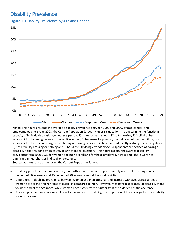# <span id="page-3-0"></span>Disability Prevalence

<span id="page-3-1"></span>Figure 1. Disability Prevalence by Age and Gender



**Notes:** This figure presents the average disability prevalence between 2009 and 2020, by age, gender, and employment. Since June 2008, the Current Population Survey includes six questions that determine the functional capacity of individuals by asking whether a person: 1) is deaf or has serious difficulty hearing, 2) is blind or has serious difficulty seeing (even with corrective lenses), 3) because of a physical, mental or emotional condition, has serious difficulty concentrating, remembering or making decisions, 4) has serious difficulty walking or climbing stairs, 5) has difficulty dressing or bathing and 6) has difficulty doing errands alone. Respondents are defined as having a disability if they respond affirmatively to any of the six questions. This figure reports the average disability prevalence from 2009-2020 for women and men overall and for those employed. Across time, there were not significant annual changes in disability prevalence.

**Source:** Authors' calculations using the Current Population Survey.

- Disability prevalence increases with age for both women and men: approximately 4 percent of young adults, 15 percent of 60 year-olds and 35 percent of 79 year-olds report having disabilities.
- Differences in disability prevalence between women and men are small and increase with age. Across all ages, women have slightly higher rates of disability compared to men. However, men have higher rates of disability at the younger end of the age range, while women have higher rates of disability at the older end of the age range.
- Since employment rates are much lower for persons with disability, the proportion of the employed with a disability is similarly lower.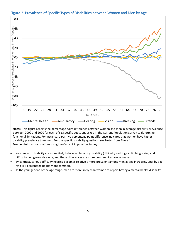

#### <span id="page-4-0"></span>Figure 2. Prevalence of Specific Types of Disabilities between Women and Men by Age

• Women with disability are more likely to have ambulatory disability (difficulty walking or climbing stairs) and difficulty doing errands alone, and these differences are more prominent as age increases.

**Source:** Authors' calculations using the Current Population Survey.

- By contrast, serious difficulty hearing becomes relatively more prevalent among men as age increases, until by age 79 it is 8 percentage points more common.
- At the younger end of the age range, men are more likely than women to report having a mental health disability.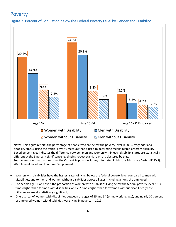# <span id="page-5-0"></span>Poverty

<span id="page-5-1"></span>



**Notes:** This figure reports the percentage of people who are below the poverty level in 2019, by gender and disability status, using the official poverty measure that is used to determine means-tested program eligibility. Boxed percentages indicates the difference between men and women within each disability status are statistically different at the 5 percent significance level using robust standard errors clustered by state. **Source:** Authors' calculations using the Current Population Survey Integrated Public Use Microdata Series (IPUMS), 2020 Annual Social and Economic Supplement.

- Women with disabilities have the highest rates of living below the federal poverty level compared to men with disabilities, and to men and women without disabilities across all ages, including among the employed.
- For people age 16 and over, the proportion of women with disabilities living below the federal poverty level is 1.4 times higher than for men with disabilities, and 2.2 times higher than for women without disabilities (these differences are all statistically significant).
- One-quarter of women with disabilities between the ages of 25 and 54 (prime working-age), and nearly 10 percent of employed women with disabilities were living in poverty in 2019.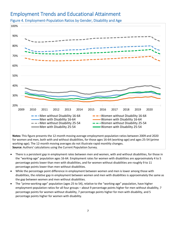## <span id="page-6-0"></span>Employment Trends and Educational Attainment



<span id="page-6-1"></span>Figure 4. Employment-Population Ratios by Gender, Disability and Age

**Notes:** This figure presents the 12-month moving average employment-population ratios between 2009 and 2020 for women and men, both with and without disabilities, for those ages 16-64 (working-age) and ages 25-54 (prime working-age). The 12-month moving averages do not illustrate rapid monthly changes. **Source:** Authors' calculations using the Current Population Survey.

- There is a persistent gap in employment rates between men and women, with and without disabilities, for those in the "working-age" population ages 16-64. Employment rates for women with disabilities are approximately 4 to 5 percentage points lower than men with disabilities, and for women without disabilities are roughly 9 to 11 percentage points lower than men without disabilities.
- While the percentage point difference in employment between women and men is lower among those with disabilities, the *relative* gap in employment between women and men with disabilities is approximately the same as the gap between women and men without disabilities.
- The "prime-working-age" population (ages 25 to 54), relative to the "working-age" population, have higher employment-population ratios for all four groups – about 9 percentage points higher for men without disability, 7 percentage points for women without disability, 7 percentage points higher for men with disability, and 5 percentage points higher for women with disability.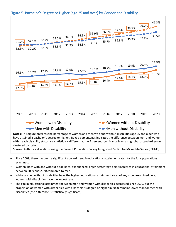

## <span id="page-7-0"></span>Figure 5. Bachelor's Degree or Higher (age 25 and over) by Gender and Disability

have attained a bachelor's degree or higher. Boxed percentages indicates the difference between men and women within each disability status are statistically different at the 5 percent significance level using robust standard errors clustered by state.

- Since 2009, there has been a significant upward trend in educational attainment rates for the four populations examined.
- Women, both with and without disabilities, experienced larger percentage point increases in educational attainment between 2009 and 2020 compared to men.
- While women without disabilities have the highest educational attainment rates of any group examined here, women with disabilities have the lowest rate.
- The gap in educational attainment between men and women with disabilities decreased since 2009, but the proportion of women with disabilities with a bachelor's degree or higher in 2020 remains lower than for men with disabilities (the difference is statistically significant).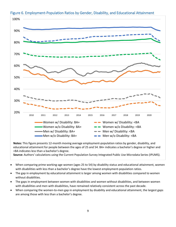

## <span id="page-8-0"></span>Figure 6. Employment-Population Ratios by Gender, Disability, and Educational Attainment

**Notes:** This figure presents 12-month moving average employment-population ratios by gender, disability, and educational attainment for people between the ages of 25 and 54. BA+ indicates a bachelor's degree or higher and <BA indicates less than a bachelor's degree.

- When comparing prime working-age women (ages 25 to 54) by disability status and educational attainment, women with disabilities with less than a bachelor's degree have the lowest employment-population ratios.
- The gap in employment by educational attainment is larger among women with disabilities compared to women without disabilities.
- The gaps in employment between women with disabilities and women without disabilities, and between women with disabilities and men with disabilities, have remained relatively consistent across the past decade.
- When comparing the women-to-men gap in employment by disability and educational attainment, the largest gaps are among those with less than a bachelor's degree.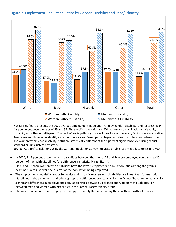#### <span id="page-9-0"></span>Figure 7. Employment-Population Ratios by Gender, Disability and Race/Ethnicity



**Notes:** This figure presents the 2020 average employment-population ratio by gender, disability, and race/ethnicity for people between the ages of 25 and 54. The specific categories are: White non-Hispanic, Black non-Hispanic, Hispanic, and other non-Hispanic. The "other" racial/ethnic group includes Asians, Hawaiian/Pacific Islanders, Native Americans and those who identify as two or more races. Boxed percentages indicates the difference between men and women within each disability status are statistically different at the 5 percent significance level using robust standard errors clustered by state.

- In 2020, 31.9 percent of women with disabilities between the ages of 25 and 54 were employed compared to 37.1 percent of men with disabilities (the difference is statistically significant).
- Black and Hispanic women with disabilities have the lowest employment-population ratios among the groups examined, with just over one-quarter of the population being employed.
- The employment-population ratios for White and Hispanic women with disabilities are lower than for men with disabilities in the same racial and ethnic group (the differences are statistically significant).There are no statistically significant differences in employment-population ratios between Black men and women with disabilities, or between men and women with disabilities in the "other" race/ethnicity group.
- The ratio of women-to-men employment is approximately the same among those with and without disabilities.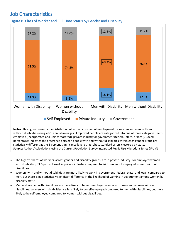# <span id="page-10-0"></span>Job Characteristics

<span id="page-10-1"></span>Figure 8. Class of Worker and Full Time Status by Gender and Disability



**Notes:** This figure presents the distribution of workers by class of employment for women and men, with and without disabilities using 2020 annual averages. Employed people are categorized into one of three categories: selfemployed (incorporated and unincorporated), private industry or government (federal, state, or local). Boxed percentages indicates the difference between people with and without disabilities within each gender group are statistically different at the 5 percent significance level using robust standard errors clustered by state. **Source:** Authors' calculations using the Current Population Survey Integrated Public Use Microdata Series (IPUMS).

- The highest shares of workers, across gender and disability groups, are in private industry. For employed women with disabilities, 71.5 percent work in private industry compared to 74.8 percent of employed women without disabilities.
- Women (with and without disabilities) are more likely to work in government (federal, state, and local) compared to men, but there is no statistically significant difference in the likelihood of working in government among women by disability status.
- Men and women with disabilities are more likely to be self-employed compared to men and women without disabilities. Women with disabilities are less likely to be self-employed compared to men with disabilities, but more likely to be self-employed compared to women without disabilities.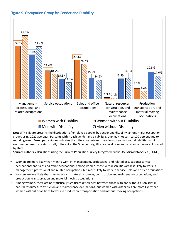#### <span id="page-11-0"></span>Figure 9. Occupation Group by Gender and Disability



**Notes:** This figure presents the distribution of employed people, by gender and disability, among major occupation groups using 2020 averages. Percents within each gender and disability group may not sum to 100 percent due to rounding error. Boxed percentages indicates the difference between people with and without disabilities within each gender group are statistically different at the 5 percent significance level using robust standard errors clustered by state.

- Women are more likely than men to work in: management, professional and related occupations; service occupations; and sales and office occupations. Among women, those with disabilities are less likely to work in management, professional and related occupations, but more likely to work in service, sales and office occupations.
- Women are less likely than men to work in: natural resources, construction and maintenance occupations; and production, transportation and material moving occupations.
- Among women, there are no statistically significant differences between those with and without disabilities in natural resources, construction and maintenance occupations, but women with disabilities are more likely than women without disabilities to work in production, transportation and material moving occupations.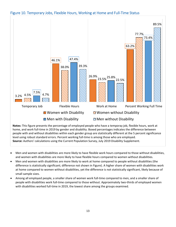<span id="page-12-0"></span>Figure 10. Temporary Jobs, Flexible Hours, Working at Home and Full-Time Status



home, and work full-time in 2019 by gender and disability. Boxed percentages indicates the difference between people with and without disabilities within each gender group are statistically different at the 5 percent significance level using robust standard errors. Percent working full-time is among those who are employed. **Source:** Authors' calculations using the Current Population Survey, July 2019 Disability Supplement.

- Men and women with disabilities are more likely to have flexible work hours compared to those without disabilities, and women with disabilities are more likely to have flexible hours compared to women without disabilities.
- Men and women with disabilities are more likely to work at home compared to people without disabilities (the difference is statistically significant; difference not shown in Figure). A higher share of women with disabilities work at home compared to women without disabilities, yet the difference is not statistically significant, likely because of small sample sizes.
- Among all employed people, a smaller share of women work full-time compared to men, and a smaller share of people with disabilities work full-time compared to those without. Approximately two-thirds of employed women with disabilities worked full-time in 2019, the lowest share among the groups examined.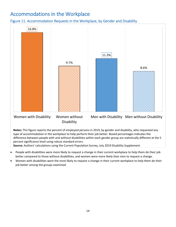# <span id="page-13-0"></span>Accommodations in the Workplace

<span id="page-13-1"></span>Figure 11. Accommodation Requests in the Workplace, by Gender and Disability



Women with Disability Women without **Disability** Men with Disability Men without Disability

**Notes:** This figure reports the percent of employed persons in 2019, by gender and disability, who requested any type of accommodation in the workplace to help perform their job better. Boxed percentages indicates the difference between people with and without disabilities within each gender group are statistically different at the 5 percent significance level using robust standard errors.

**Source:** Authors' calculations using the Current Population Survey, July 2019 Disability Supplement.

- People with disabilities were more likely to request a change in their current workplace to help them do their job better compared to those without disabilities, and women were more likely than men to request a change.
- Women with disabilities were the most likely to request a change in their current workplace to help them do their job better among the groups examined.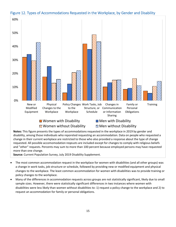

#### <span id="page-14-0"></span>Figure 12. Types of Accommodations Requested in the Workplace, by Gender and Disability

disability, among those individuals who reporeted requesting an accommodation. Data on people who requested a change in their current workplace are restricted to those who also provided a response about the type of change requested. All possible accomomodation reqeusts are included except for changes to comply with religious beliefs and "other" requests. Percents may sum to more than 100 percent because employed persons may have requested more than one change.

**Source:** Current Population Survey, July 2019 Disability Supplement.

- The most common accommodation request in the workplace for women with disabilities (and all other groups) was a change in work tasks, job structure or schedule, followed by providing new or modified equipment and physical changes to the workplace. The least common accommodation for women with disabilities was to provide training or policy changes to the workplace.
- Many of the differences in accommodation requests across groups are not statistically significant, likely due to small sample sizes. However, there were statistically significant differences in two instances where women with disabilities were less likely than women without disabilities to: 1) request a policy change to the workplace and 2) to request an accommodation for family or personal obligations.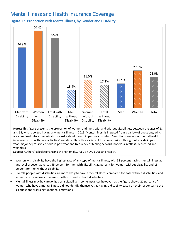# <span id="page-15-0"></span>Mental Illness and Health Insurance Coverage

<span id="page-15-1"></span>Figure 13. Proportion with Mental Illness, by Gender and Disability



**Notes:** This figure presents the proportion of women and men, with and without disabilities, between the ages of 18 and 64, who reported having any mental illness in 2019. Mental illness is imputed from a variety of questions, which are combined into a numerical score:Asks about month in past year in which "emotions, nerves, or mental health interfered most with daily activities" and difficulty with a variety of functions, serious thought of suicide in past year, major depressive episode in past year and frequency of feeling nervous, hopeless, restless, depressed and worthless.

**Source:** Authors' calculations using the National Survey on Drug Use and Health.

- Women with disability have the highest rate of any type of mental illness, with 58 percent having mental illness at any level of severity, versus 45 percent for men with disability, 21 percent for women without disability and 13 percent for men without disability.
- Overall, people with disabilities are more likely to have a mental illness compared to those without disabilities, and women are more likely than men, both with and without disabilities.
- Mental illness may be categorized as a disability in some instances however, as the figure shows, 21 percent of women who have a mental illness did not identify themselves as having a disability based on their responses to the six questions assessing functional limitations.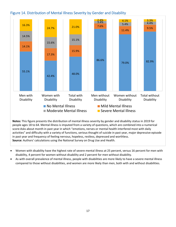#### <span id="page-16-0"></span>Figure 14. Distribution of Mental Illness Severity by Gender and Disability



**Notes:** This figure presents the distribution of mental illness severity by gender and disability status in 2019 for people ages 18 to 64. Mental illness is imputed from a variety of questions, which are combined into a numerical score:Asks about month in past year in which "emotions, nerves or mental health interfered most with daily activities" and difficulty with a variety of functions, serious thought of suicide in past year, major depressive episode in past year and frequency of feeling nervous, hopeless, restless, depressed and worthless. **Source:** Authors' calculations using the National Survey on Drug Use and Health.

- Women with disability have the highest rate of severe mental illness at 25 percent, versus 16 percent for men with disability, 4 percent for women without disability and 2 percent for men without disability.
- As with overall prevalence of mental illness, people with disabilities are more likely to have a severe mental illness compared to those without disabilities, and women are more likely than men, both with and without disabilities.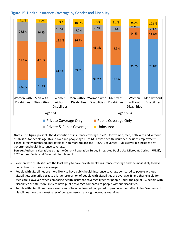#### <span id="page-17-0"></span>Figure 15. Health Insurance Coverage by Gender and Disability



**Notes:** This figure presents the distribution of insurance coverage in 2019 for women, men, both with and without disabilities for people age 16 and over and people age 16 to 64. Private health insurance includes employmentbased, directly purchased, marketplace, non-marketplace and TRICARE coverage. Public coverage includes any government health insurance coverage.

**Source:** Authors' calculations using the Current Population Survey Integrated Public Use Microdata Series (IPUMS), 2020 Annual Social and Economic Supplement.

- Women with disabilities are the least likely to have private health insurance coverage and the most likely to have public health insurance coverage.
- People with disabilities are more likely to have public health insurance coverage compared to people without disabilities, primarily because a larger proportion of people with disabilities are over age 65 and thus eligible for Medicare. However, when comparing health insurance coverage types for people under the age of 65, people with disabilities are still more likely to have public coverage compared to people without disabilities.
- People with disabilities have lower rates of being uninsured compared to people without disabilities. Women with disabilities have the lowest rates of being uninsured among the groups examined.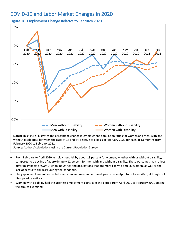## <span id="page-18-0"></span>COVID-19 and Labor Market Changes in 2020

<span id="page-18-1"></span>Figure 16. Employment Change Relative to February 2020



**Notes:** This figure illustrates the percentage change in employment-population ratios for women and men, with and without disabilities, between the ages of 16 and 64, relative to a basis of February 2020 for each of 13 months from February 2020 to February 2021.

**Source:** Authors' calculations using the Current Population Survey.

- From February to April 2020, employment fell by about 18 percent for women, whether with or without disability, compared to a decline of approximately 12 percent for men with and without disability, These outcomes may reflect differing impacts of COVID-19 on industries and occupations that are more likely to employ women, as well as the lack of access to childcare during the pandemic.
- The gap in employment losses between men and women narrowed greatly from April to October 2020, although not disappearing entirely.
- Women with disability had the greatest employment gains over the period from April 2020 to February 2021 among the groups examined.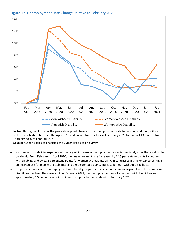#### <span id="page-19-0"></span>Figure 17. Unemployment Rate Change Relative to February 2020



**Notes:** This figure illustrates the percentage point change in the unemployment rate for women and men, with and without disabilities, between the ages of 16 and 64, relative to a basis of February 2020 for each of 13 months from February 2020 to February 2021.

**Source:** Author's calculations using the Current Population Survey.

- Women with disabilities experienced the largest increase in unemployment rates immediately after the onset of the pandemic. From February to April 2020, the unemployment rate increased by 12.3 percentage points for women with disability and by 12.2 percentage points for women without disability, in contrast to a smaller 9.9 percentage points increase for men with disabilities and 9.0 percentage points increase for men without disabilities.
- Despite decreases in the unemployment rate for all groups, the recovery in the unemployment rate for women with disabilities has been the slowest. As of February 2021, the unemployment rate for women with disabilities was approximately 6.5 percentage points higher than prior to the pandemic in February 2020.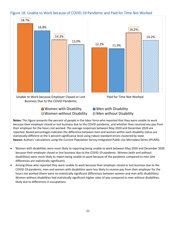#### <span id="page-20-0"></span>Figure 18. Unable to Work because of COVID-19 Pandemic and Paid for Time Not Worked



**Notes:** This figure presents the percent of people in the labor force who reported that they were unable to work because their employer closed or lost business due to the COVID pandemic, and whether they received any pay from their employer for the hours not worked. The average responses between May 2020 and December 2020 are reported. Boxed percentages indicates the difference between men and women within each disability status are statistically different at the 5 percent significance level using robust standard errors clustered by state. **Source:** Authors' calculations using the Current Population Survey Integrated Public Use Microdata Series (IPUMS).

- Women with disabilities were most likely to reporting being unable to work between May 2020 and December 2020 because their employer closed or lost business due to the COVID-19 pandemic. Women (with and without disabilities) were more likely to report being unable to work because of the pandemic compared to men (the differences are statistically significant).
- Among those who reported they were unable to work because their employer closed or lost business due to the COVID-19 pandemic, men and women with disabilities were less likely to receive pay from their employer for the hours not worked (there were no statistically significant differences between women and men with disabilities). Women without disabilities had statistically significant higher rates of pay compared to men without disabilities, likely due to differences in occupations.